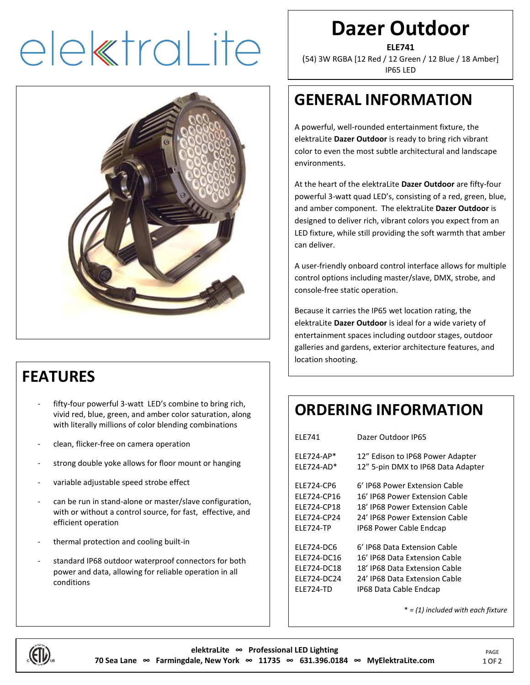# elektraLite



#### **FEATURES**

- fifty-four powerful 3-watt LED's combine to bring rich, vivid red, blue, green, and amber color saturation, along with literally millions of color blending combinations
- clean, flicker-free on camera operation
- strong double yoke allows for floor mount or hanging
- variable adjustable speed strobe effect
- can be run in stand-alone or master/slave configuration, with or without a control source, for fast, effective, and efficient operation
- thermal protection and cooling built-in
- standard IP68 outdoor waterproof connectors for both power and data, allowing for reliable operation in all conditions

### **Dazer Outdoor**

**ELE741**

(54) 3W RGBA [12 Red / 12 Green / 12 Blue / 18 Amber] IP65 LED

#### **GENERAL INFORMATION**

A powerful, well-rounded entertainment fixture, the elektraLite **Dazer Outdoor** is ready to bring rich vibrant color to even the most subtle architectural and landscape environments.

At the heart of the elektraLite **Dazer Outdoor** are fifty-four powerful 3-watt quad LED's, consisting of a red, green, blue, and amber component. The elektraLite **Dazer Outdoor** is designed to deliver rich, vibrant colors you expect from an LED fixture, while still providing the soft warmth that amber can deliver.

A user-friendly onboard control interface allows for multiple control options including master/slave, DMX, strobe, and console-free static operation.

Because it carries the IP65 wet location rating, the elektraLite **Dazer Outdoor** is ideal for a wide variety of entertainment spaces including outdoor stages, outdoor galleries and gardens, exterior architecture features, and location shooting.

#### **ORDERING INFORMATION**

| <b>FIF741</b>                                                   | Dazer Outdoor IP65                                                                                                                  |
|-----------------------------------------------------------------|-------------------------------------------------------------------------------------------------------------------------------------|
| FI F724-AP*<br>FI F724-AD*                                      | 12" Edison to IP68 Power Adapter<br>12" 5-pin DMX to IP68 Data Adapter                                                              |
| <b>FIF724-CP6</b><br>FLF724-CP16<br>ELE724-CP18<br>FI F724-CP24 | 6' IP68 Power Extension Cable<br>16' IP68 Power Extension Cable<br>18' IP68 Power Extension Cable<br>24' IP68 Power Extension Cable |
| <b>FIF724-TP</b>                                                | IP68 Power Cable Endcap                                                                                                             |
| ELE724-DC6                                                      | 6' IP68 Data Extension Cable                                                                                                        |
| <b>FIF724-DC16</b>                                              | 16' IP68 Data Extension Cable                                                                                                       |
| <b>FIF724-DC18</b>                                              | 18' IP68 Data Extension Cable                                                                                                       |
| ELE724-DC24                                                     | 24' IP68 Data Extension Cable                                                                                                       |
| <b>ELE724-TD</b>                                                | IP68 Data Cable Endcap                                                                                                              |

\* *= (1) included with each fixture*